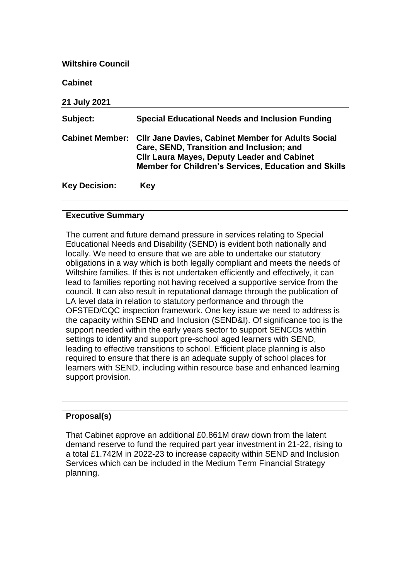| <b>Wiltshire Council</b> |                                                                                                                                                                                                                             |
|--------------------------|-----------------------------------------------------------------------------------------------------------------------------------------------------------------------------------------------------------------------------|
| <b>Cabinet</b>           |                                                                                                                                                                                                                             |
| 21 July 2021             |                                                                                                                                                                                                                             |
| Subject:                 | Special Educational Needs and Inclusion Funding                                                                                                                                                                             |
| <b>Cabinet Member:</b>   | <b>CIIr Jane Davies, Cabinet Member for Adults Social</b><br>Care, SEND, Transition and Inclusion; and<br><b>CIIr Laura Mayes, Deputy Leader and Cabinet</b><br><b>Member for Children's Services, Education and Skills</b> |
| <b>Key Decision:</b>     | Key                                                                                                                                                                                                                         |

# **Executive Summary**

The current and future demand pressure in services relating to Special Educational Needs and Disability (SEND) is evident both nationally and locally. We need to ensure that we are able to undertake our statutory obligations in a way which is both legally compliant and meets the needs of Wiltshire families. If this is not undertaken efficiently and effectively, it can lead to families reporting not having received a supportive service from the council. It can also result in reputational damage through the publication of LA level data in relation to statutory performance and through the OFSTED/CQC inspection framework. One key issue we need to address is the capacity within SEND and Inclusion (SEND&I). Of significance too is the support needed within the early years sector to support SENCOs within settings to identify and support pre-school aged learners with SEND, leading to effective transitions to school. Efficient place planning is also required to ensure that there is an adequate supply of school places for learners with SEND, including within resource base and enhanced learning support provision.

# **Proposal(s)**

That Cabinet approve an additional £0.861M draw down from the latent demand reserve to fund the required part year investment in 21-22, rising to a total £1.742M in 2022-23 to increase capacity within SEND and Inclusion Services which can be included in the Medium Term Financial Strategy planning.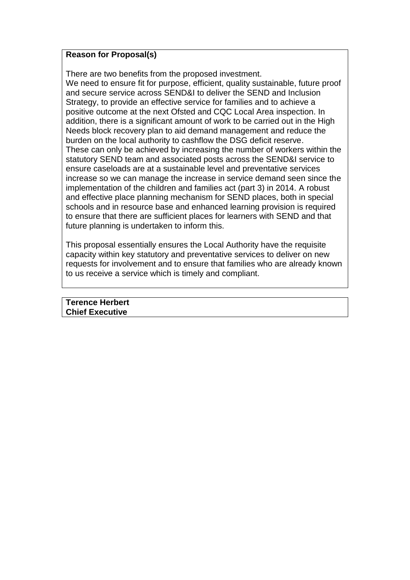### **Reason for Proposal(s)**

There are two benefits from the proposed investment.

We need to ensure fit for purpose, efficient, quality sustainable, future proof and secure service across SEND&I to deliver the SEND and Inclusion Strategy, to provide an effective service for families and to achieve a positive outcome at the next Ofsted and CQC Local Area inspection. In addition, there is a significant amount of work to be carried out in the High Needs block recovery plan to aid demand management and reduce the burden on the local authority to cashflow the DSG deficit reserve. These can only be achieved by increasing the number of workers within the statutory SEND team and associated posts across the SEND&I service to ensure caseloads are at a sustainable level and preventative services increase so we can manage the increase in service demand seen since the implementation of the children and families act (part 3) in 2014. A robust and effective place planning mechanism for SEND places, both in special schools and in resource base and enhanced learning provision is required to ensure that there are sufficient places for learners with SEND and that future planning is undertaken to inform this.

This proposal essentially ensures the Local Authority have the requisite capacity within key statutory and preventative services to deliver on new requests for involvement and to ensure that families who are already known to us receive a service which is timely and compliant.

**Terence Herbert Chief Executive**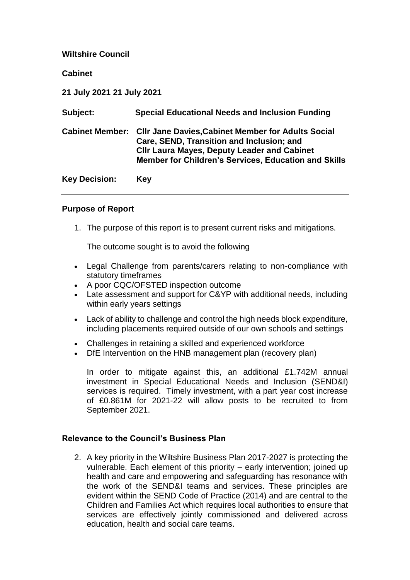### **Wiltshire Council**

**Cabinet** 

**21 July 2021 21 July 2021** 

| Subject:             | <b>Special Educational Needs and Inclusion Funding</b>                                                                                                                                                                               |
|----------------------|--------------------------------------------------------------------------------------------------------------------------------------------------------------------------------------------------------------------------------------|
|                      | <b>Cabinet Member: Cllr Jane Davies, Cabinet Member for Adults Social</b><br>Care, SEND, Transition and Inclusion; and<br><b>CIIr Laura Mayes, Deputy Leader and Cabinet</b><br>Member for Children's Services, Education and Skills |
| <b>Key Decision:</b> | Key                                                                                                                                                                                                                                  |

#### **Purpose of Report**

1. The purpose of this report is to present current risks and mitigations.

The outcome sought is to avoid the following

- Legal Challenge from parents/carers relating to non-compliance with statutory timeframes
- A poor CQC/OFSTED inspection outcome
- Late assessment and support for C&YP with additional needs, including within early years settings
- Lack of ability to challenge and control the high needs block expenditure, including placements required outside of our own schools and settings
- Challenges in retaining a skilled and experienced workforce
- DfE Intervention on the HNB management plan (recovery plan)

In order to mitigate against this, an additional £1.742M annual investment in Special Educational Needs and Inclusion (SEND&I) services is required. Timely investment, with a part year cost increase of £0.861M for 2021-22 will allow posts to be recruited to from September 2021.

#### **Relevance to the Council's Business Plan**

2. A key priority in the Wiltshire Business Plan 2017-2027 is protecting the vulnerable. Each element of this priority – early intervention; joined up health and care and empowering and safeguarding has resonance with the work of the SEND&I teams and services. These principles are evident within the SEND Code of Practice (2014) and are central to the Children and Families Act which requires local authorities to ensure that services are effectively jointly commissioned and delivered across education, health and social care teams.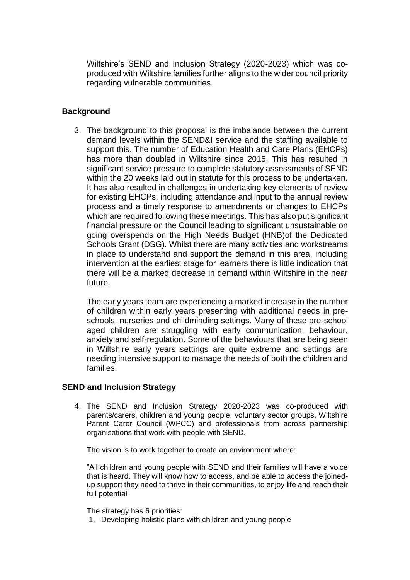Wiltshire's SEND and Inclusion Strategy (2020-2023) which was coproduced with Wiltshire families further aligns to the wider council priority regarding vulnerable communities.

### **Background**

3. The background to this proposal is the imbalance between the current demand levels within the SEND&I service and the staffing available to support this. The number of Education Health and Care Plans (EHCPs) has more than doubled in Wiltshire since 2015. This has resulted in significant service pressure to complete statutory assessments of SEND within the 20 weeks laid out in statute for this process to be undertaken. It has also resulted in challenges in undertaking key elements of review for existing EHCPs, including attendance and input to the annual review process and a timely response to amendments or changes to EHCPs which are required following these meetings. This has also put significant financial pressure on the Council leading to significant unsustainable on going overspends on the High Needs Budget (HNB)of the Dedicated Schools Grant (DSG). Whilst there are many activities and workstreams in place to understand and support the demand in this area, including intervention at the earliest stage for learners there is little indication that there will be a marked decrease in demand within Wiltshire in the near future.

The early years team are experiencing a marked increase in the number of children within early years presenting with additional needs in preschools, nurseries and childminding settings. Many of these pre-school aged children are struggling with early communication, behaviour, anxiety and self-regulation. Some of the behaviours that are being seen in Wiltshire early years settings are quite extreme and settings are needing intensive support to manage the needs of both the children and families.

### **SEND and Inclusion Strategy**

4. The SEND and Inclusion Strategy 2020-2023 was co-produced with parents/carers, children and young people, voluntary sector groups, Wiltshire Parent Carer Council (WPCC) and professionals from across partnership organisations that work with people with SEND.

The vision is to work together to create an environment where:

"All children and young people with SEND and their families will have a voice that is heard. They will know how to access, and be able to access the joinedup support they need to thrive in their communities, to enjoy life and reach their full potential"

The strategy has 6 priorities:

1. Developing holistic plans with children and young people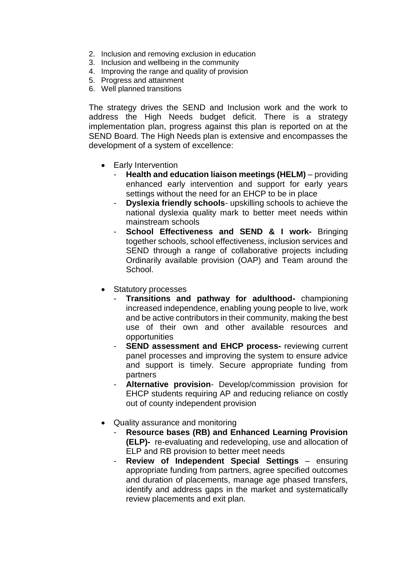- 2. Inclusion and removing exclusion in education
- 3. Inclusion and wellbeing in the community
- 4. Improving the range and quality of provision
- 5. Progress and attainment
- 6. Well planned transitions

The strategy drives the SEND and Inclusion work and the work to address the High Needs budget deficit. There is a strategy implementation plan, progress against this plan is reported on at the SEND Board. The High Needs plan is extensive and encompasses the development of a system of excellence:

- Early Intervention
	- **Health and education liaison meetings (HELM)** providing enhanced early intervention and support for early years settings without the need for an EHCP to be in place
	- **Dyslexia friendly schools** upskilling schools to achieve the national dyslexia quality mark to better meet needs within mainstream schools
	- **School Effectiveness and SEND & I work-** Bringing together schools, school effectiveness, inclusion services and SEND through a range of collaborative projects including Ordinarily available provision (OAP) and Team around the School.
- Statutory processes
	- **Transitions and pathway for adulthood-** championing increased independence, enabling young people to live, work and be active contributors in their community, making the best use of their own and other available resources and opportunities
	- **SEND assessment and EHCP process-** reviewing current panel processes and improving the system to ensure advice and support is timely. Secure appropriate funding from partners
	- **Alternative provision** Develop/commission provision for EHCP students requiring AP and reducing reliance on costly out of county independent provision
- Quality assurance and monitoring
	- **Resource bases (RB) and Enhanced Learning Provision (ELP)-** re-evaluating and redeveloping, use and allocation of ELP and RB provision to better meet needs
	- **Review of Independent Special Settings ensuring** appropriate funding from partners, agree specified outcomes and duration of placements, manage age phased transfers, identify and address gaps in the market and systematically review placements and exit plan.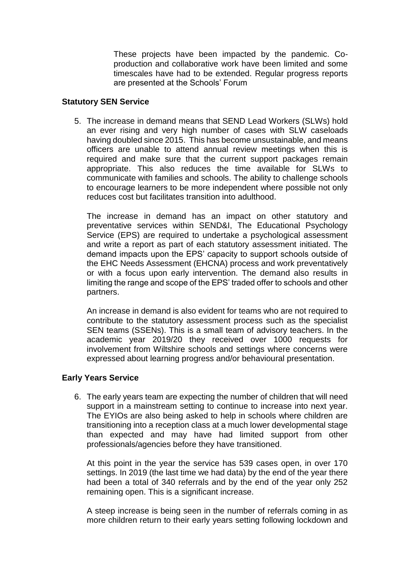These projects have been impacted by the pandemic. Coproduction and collaborative work have been limited and some timescales have had to be extended. Regular progress reports are presented at the Schools' Forum

### **Statutory SEN Service**

5. The increase in demand means that SEND Lead Workers (SLWs) hold an ever rising and very high number of cases with SLW caseloads having doubled since 2015. This has become unsustainable, and means officers are unable to attend annual review meetings when this is required and make sure that the current support packages remain appropriate. This also reduces the time available for SLWs to communicate with families and schools. The ability to challenge schools to encourage learners to be more independent where possible not only reduces cost but facilitates transition into adulthood.

The increase in demand has an impact on other statutory and preventative services within SEND&I, The Educational Psychology Service (EPS) are required to undertake a psychological assessment and write a report as part of each statutory assessment initiated. The demand impacts upon the EPS' capacity to support schools outside of the EHC Needs Assessment (EHCNA) process and work preventatively or with a focus upon early intervention. The demand also results in limiting the range and scope of the EPS' traded offer to schools and other partners.

An increase in demand is also evident for teams who are not required to contribute to the statutory assessment process such as the specialist SEN teams (SSENs). This is a small team of advisory teachers. In the academic year 2019/20 they received over 1000 requests for involvement from Wiltshire schools and settings where concerns were expressed about learning progress and/or behavioural presentation.

### **Early Years Service**

6. The early years team are expecting the number of children that will need support in a mainstream setting to continue to increase into next year. The EYIOs are also being asked to help in schools where children are transitioning into a reception class at a much lower developmental stage than expected and may have had limited support from other professionals/agencies before they have transitioned.

At this point in the year the service has 539 cases open, in over 170 settings. In 2019 (the last time we had data) by the end of the year there had been a total of 340 referrals and by the end of the year only 252 remaining open. This is a significant increase.

A steep increase is being seen in the number of referrals coming in as more children return to their early years setting following lockdown and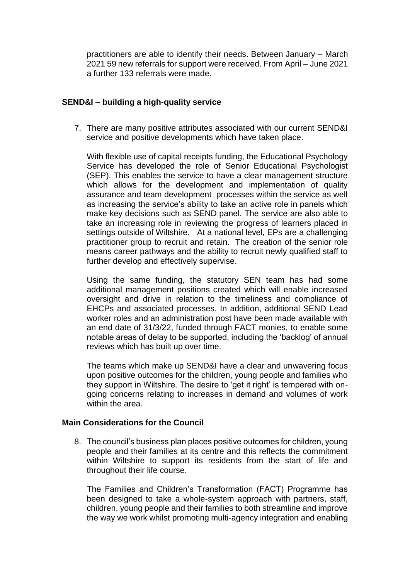practitioners are able to identify their needs. Between January – March 2021 59 new referrals for support were received. From April – June 2021 a further 133 referrals were made.

### **SEND&I – building a high-quality service**

7. There are many positive attributes associated with our current SEND&I service and positive developments which have taken place.

With flexible use of capital receipts funding, the Educational Psychology Service has developed the role of Senior Educational Psychologist (SEP). This enables the service to have a clear management structure which allows for the development and implementation of quality assurance and team development processes within the service as well as increasing the service's ability to take an active role in panels which make key decisions such as SEND panel. The service are also able to take an increasing role in reviewing the progress of learners placed in settings outside of Wiltshire. At a national level, EPs are a challenging practitioner group to recruit and retain. The creation of the senior role means career pathways and the ability to recruit newly qualified staff to further develop and effectively supervise.

Using the same funding, the statutory SEN team has had some additional management positions created which will enable increased oversight and drive in relation to the timeliness and compliance of EHCPs and associated processes. In addition, additional SEND Lead worker roles and an administration post have been made available with an end date of 31/3/22, funded through FACT monies, to enable some notable areas of delay to be supported, including the 'backlog' of annual reviews which has built up over time.

The teams which make up SEND&I have a clear and unwavering focus upon positive outcomes for the children, young people and families who they support in Wiltshire. The desire to 'get it right' is tempered with ongoing concerns relating to increases in demand and volumes of work within the area.

### **Main Considerations for the Council**

8. The council's business plan places positive outcomes for children, young people and their families at its centre and this reflects the commitment within Wiltshire to support its residents from the start of life and throughout their life course.

The Families and Children's Transformation (FACT) Programme has been designed to take a whole-system approach with partners, staff, children, young people and their families to both streamline and improve the way we work whilst promoting multi-agency integration and enabling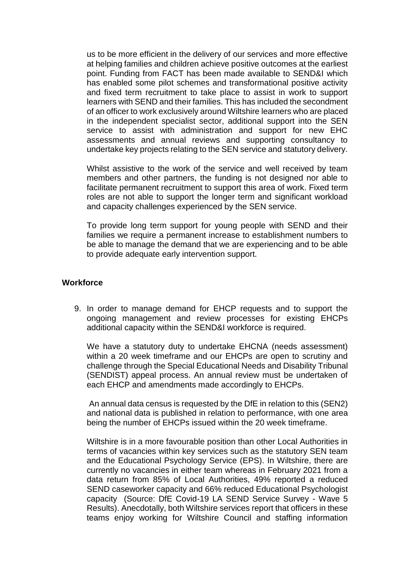us to be more efficient in the delivery of our services and more effective at helping families and children achieve positive outcomes at the earliest point. Funding from FACT has been made available to SEND&I which has enabled some pilot schemes and transformational positive activity and fixed term recruitment to take place to assist in work to support learners with SEND and their families. This has included the secondment of an officer to work exclusively around Wiltshire learners who are placed in the independent specialist sector, additional support into the SEN service to assist with administration and support for new EHC assessments and annual reviews and supporting consultancy to undertake key projects relating to the SEN service and statutory delivery.

Whilst assistive to the work of the service and well received by team members and other partners, the funding is not designed nor able to facilitate permanent recruitment to support this area of work. Fixed term roles are not able to support the longer term and significant workload and capacity challenges experienced by the SEN service.

To provide long term support for young people with SEND and their families we require a permanent increase to establishment numbers to be able to manage the demand that we are experiencing and to be able to provide adequate early intervention support.

#### **Workforce**

9. In order to manage demand for EHCP requests and to support the ongoing management and review processes for existing EHCPs additional capacity within the SEND&I workforce is required.

We have a statutory duty to undertake EHCNA (needs assessment) within a 20 week timeframe and our EHCPs are open to scrutiny and challenge through the Special Educational Needs and Disability Tribunal (SENDIST) appeal process. An annual review must be undertaken of each EHCP and amendments made accordingly to EHCPs.

An annual data census is requested by the DfE in relation to this (SEN2) and national data is published in relation to performance, with one area being the number of EHCPs issued within the 20 week timeframe.

Wiltshire is in a more favourable position than other Local Authorities in terms of vacancies within key services such as the statutory SEN team and the Educational Psychology Service (EPS). In Wiltshire, there are currently no vacancies in either team whereas in February 2021 from a data return from 85% of Local Authorities, 49% reported a reduced SEND caseworker capacity and 66% reduced Educational Psychologist capacity (Source: DfE Covid-19 LA SEND Service Survey - Wave 5 Results). Anecdotally, both Wiltshire services report that officers in these teams enjoy working for Wiltshire Council and staffing information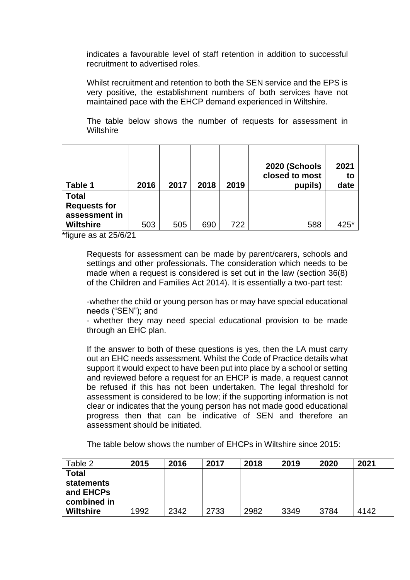indicates a favourable level of staff retention in addition to successful recruitment to advertised roles.

Whilst recruitment and retention to both the SEN service and the EPS is very positive, the establishment numbers of both services have not maintained pace with the EHCP demand experienced in Wiltshire.

The table below shows the number of requests for assessment in **Wiltshire** 

| Table 1                             | 2016 | 2017 | 2018 | 2019 | 2020 (Schools<br>closed to most<br>pupils) | 2021<br>to<br>date |
|-------------------------------------|------|------|------|------|--------------------------------------------|--------------------|
| <b>Total</b><br><b>Requests for</b> |      |      |      |      |                                            |                    |
| assessment in                       |      |      |      |      |                                            |                    |
| <b>Wiltshire</b>                    | 503  | 505  | 690  | 722  | 588                                        | 425*               |

\*figure as at 25/6/21

Requests for assessment can be made by parent/carers, schools and settings and other professionals. The consideration which needs to be made when a request is considered is set out in the law (section 36(8) of the Children and Families Act 2014). It is essentially a two-part test:

-whether the child or young person has or may have special educational needs ("SEN"); and

- whether they may need special educational provision to be made through an EHC plan.

If the answer to both of these questions is yes, then the LA must carry out an EHC needs assessment. Whilst the Code of Practice details what support it would expect to have been put into place by a school or setting and reviewed before a request for an EHCP is made, a request cannot be refused if this has not been undertaken. The legal threshold for assessment is considered to be low; if the supporting information is not clear or indicates that the young person has not made good educational progress then that can be indicative of SEN and therefore an assessment should be initiated.

The table below shows the number of EHCPs in Wiltshire since 2015:

| Table 2          | 2015 | 2016 | 2017 | 2018 | 2019 | 2020 | 2021 |
|------------------|------|------|------|------|------|------|------|
| <b>Total</b>     |      |      |      |      |      |      |      |
| statements       |      |      |      |      |      |      |      |
| and EHCPs        |      |      |      |      |      |      |      |
| combined in      |      |      |      |      |      |      |      |
| <b>Wiltshire</b> | 1992 | 2342 | 2733 | 2982 | 3349 | 3784 | 4142 |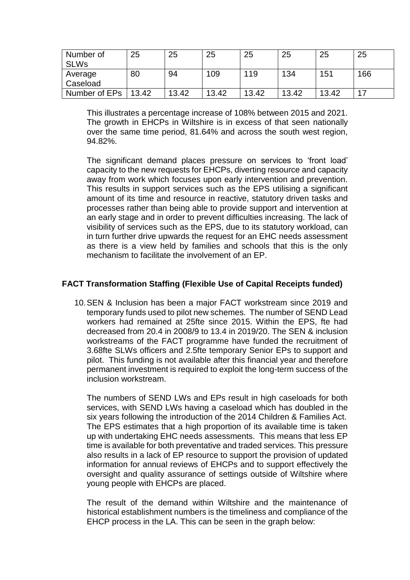| Number of     | 25    | 25    | 25    | 25    | 25    | 25    | 25  |
|---------------|-------|-------|-------|-------|-------|-------|-----|
| <b>SLWs</b>   |       |       |       |       |       |       |     |
| Average       | 80    | 94    | 109   | 119   | 134   | 151   | 166 |
| Caseload      |       |       |       |       |       |       |     |
| Number of EPs | 13.42 | 13.42 | 13.42 | 13.42 | 13.42 | 13.42 |     |

This illustrates a percentage increase of 108% between 2015 and 2021. The growth in EHCPs in Wiltshire is in excess of that seen nationally over the same time period, 81.64% and across the south west region, 94.82%.

The significant demand places pressure on services to 'front load' capacity to the new requests for EHCPs, diverting resource and capacity away from work which focuses upon early intervention and prevention. This results in support services such as the EPS utilising a significant amount of its time and resource in reactive, statutory driven tasks and processes rather than being able to provide support and intervention at an early stage and in order to prevent difficulties increasing. The lack of visibility of services such as the EPS, due to its statutory workload, can in turn further drive upwards the request for an EHC needs assessment as there is a view held by families and schools that this is the only mechanism to facilitate the involvement of an EP.

### **FACT Transformation Staffing (Flexible Use of Capital Receipts funded)**

10.SEN & Inclusion has been a major FACT workstream since 2019 and temporary funds used to pilot new schemes. The number of SEND Lead workers had remained at 25fte since 2015. Within the EPS, fte had decreased from 20.4 in 2008/9 to 13.4 in 2019/20. The SEN & inclusion workstreams of the FACT programme have funded the recruitment of 3.68fte SLWs officers and 2.5fte temporary Senior EPs to support and pilot. This funding is not available after this financial year and therefore permanent investment is required to exploit the long-term success of the inclusion workstream.

The numbers of SEND LWs and EPs result in high caseloads for both services, with SEND LWs having a caseload which has doubled in the six years following the introduction of the 2014 Children & Families Act. The EPS estimates that a high proportion of its available time is taken up with undertaking EHC needs assessments. This means that less EP time is available for both preventative and traded services. This pressure also results in a lack of EP resource to support the provision of updated information for annual reviews of EHCPs and to support effectively the oversight and quality assurance of settings outside of Wiltshire where young people with EHCPs are placed.

The result of the demand within Wiltshire and the maintenance of historical establishment numbers is the timeliness and compliance of the EHCP process in the LA. This can be seen in the graph below: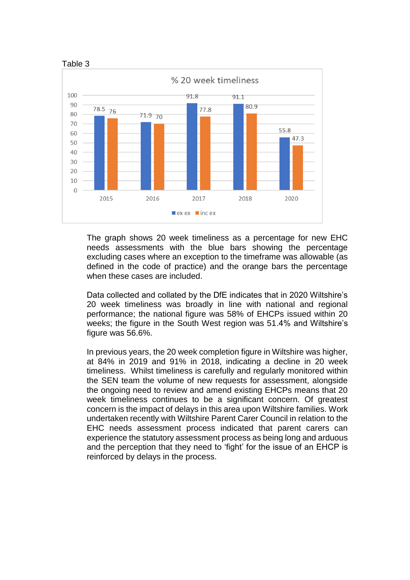

The graph shows 20 week timeliness as a percentage for new EHC needs assessments with the blue bars showing the percentage excluding cases where an exception to the timeframe was allowable (as defined in the code of practice) and the orange bars the percentage when these cases are included.

Data collected and collated by the DfE indicates that in 2020 Wiltshire's 20 week timeliness was broadly in line with national and regional performance; the national figure was 58% of EHCPs issued within 20 weeks; the figure in the South West region was 51.4% and Wiltshire's figure was 56.6%.

In previous years, the 20 week completion figure in Wiltshire was higher, at 84% in 2019 and 91% in 2018, indicating a decline in 20 week timeliness. Whilst timeliness is carefully and regularly monitored within the SEN team the volume of new requests for assessment, alongside the ongoing need to review and amend existing EHCPs means that 20 week timeliness continues to be a significant concern. Of greatest concern is the impact of delays in this area upon Wiltshire families. Work undertaken recently with Wiltshire Parent Carer Council in relation to the EHC needs assessment process indicated that parent carers can experience the statutory assessment process as being long and arduous and the perception that they need to 'fight' for the issue of an EHCP is reinforced by delays in the process.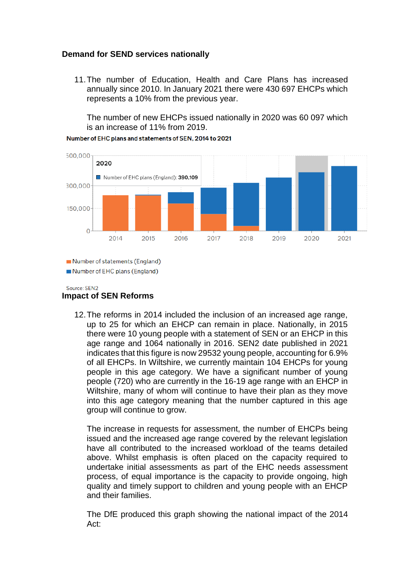### **Demand for SEND services nationally**

11.The number of Education, Health and Care Plans has increased annually since 2010. In January 2021 there were 430 697 EHCPs which represents a 10% from the previous year.

The number of new EHCPs issued nationally in 2020 was 60 097 which is an increase of 11% from 2019.



Number of EHC plans and statements of SEN, 2014 to 2021

Number of statements (England)

Number of EHC plans (England)

#### Source: SEN2 **Impact of SEN Reforms**

12.The reforms in 2014 included the inclusion of an increased age range, up to 25 for which an EHCP can remain in place. Nationally, in 2015 there were 10 young people with a statement of SEN or an EHCP in this age range and 1064 nationally in 2016. SEN2 date published in 2021 indicates that this figure is now 29532 young people, accounting for 6.9% of all EHCPs. In Wiltshire, we currently maintain 104 EHCPs for young people in this age category. We have a significant number of young people (720) who are currently in the 16-19 age range with an EHCP in Wiltshire, many of whom will continue to have their plan as they move into this age category meaning that the number captured in this age group will continue to grow.

The increase in requests for assessment, the number of EHCPs being issued and the increased age range covered by the relevant legislation have all contributed to the increased workload of the teams detailed above. Whilst emphasis is often placed on the capacity required to undertake initial assessments as part of the EHC needs assessment process, of equal importance is the capacity to provide ongoing, high quality and timely support to children and young people with an EHCP and their families.

The DfE produced this graph showing the national impact of the 2014 Act: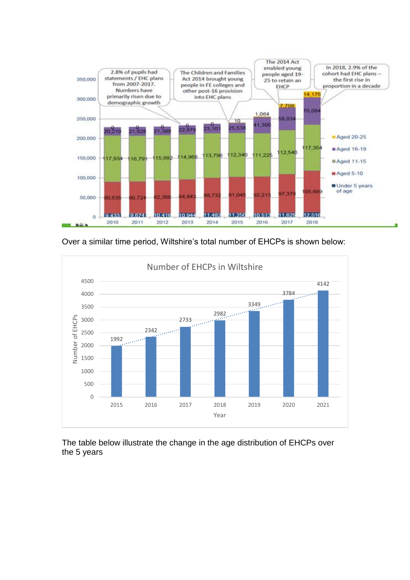

Over a similar time period, Wiltshire's total number of EHCPs is shown below:



The table below illustrate the change in the age distribution of EHCPs over the 5 years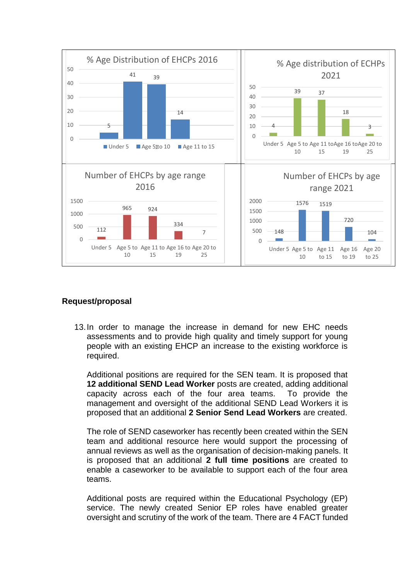

### **Request/proposal**

13.In order to manage the increase in demand for new EHC needs assessments and to provide high quality and timely support for young people with an existing EHCP an increase to the existing workforce is required.

Additional positions are required for the SEN team. It is proposed that **12 additional SEND Lead Worker** posts are created, adding additional capacity across each of the four area teams. To provide the management and oversight of the additional SEND Lead Workers it is proposed that an additional **2 Senior Send Lead Workers** are created.

The role of SEND caseworker has recently been created within the SEN team and additional resource here would support the processing of annual reviews as well as the organisation of decision-making panels. It is proposed that an additional **2 full time positions** are created to enable a caseworker to be available to support each of the four area teams.

Additional posts are required within the Educational Psychology (EP) service. The newly created Senior EP roles have enabled greater oversight and scrutiny of the work of the team. There are 4 FACT funded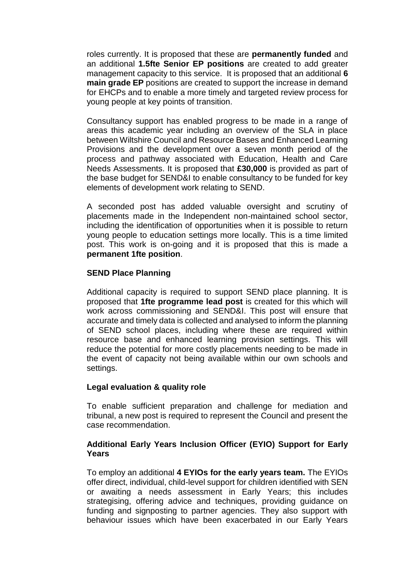roles currently. It is proposed that these are **permanently funded** and an additional **1.5fte Senior EP positions** are created to add greater management capacity to this service. It is proposed that an additional **6 main grade EP** positions are created to support the increase in demand for EHCPs and to enable a more timely and targeted review process for young people at key points of transition.

Consultancy support has enabled progress to be made in a range of areas this academic year including an overview of the SLA in place between Wiltshire Council and Resource Bases and Enhanced Learning Provisions and the development over a seven month period of the process and pathway associated with Education, Health and Care Needs Assessments. It is proposed that **£30,000** is provided as part of the base budget for SEND&I to enable consultancy to be funded for key elements of development work relating to SEND.

A seconded post has added valuable oversight and scrutiny of placements made in the Independent non-maintained school sector, including the identification of opportunities when it is possible to return young people to education settings more locally. This is a time limited post. This work is on-going and it is proposed that this is made a **permanent 1fte position**.

### **SEND Place Planning**

Additional capacity is required to support SEND place planning. It is proposed that **1fte programme lead post** is created for this which will work across commissioning and SEND&I. This post will ensure that accurate and timely data is collected and analysed to inform the planning of SEND school places, including where these are required within resource base and enhanced learning provision settings. This will reduce the potential for more costly placements needing to be made in the event of capacity not being available within our own schools and settings.

#### **Legal evaluation & quality role**

To enable sufficient preparation and challenge for mediation and tribunal, a new post is required to represent the Council and present the case recommendation.

### **Additional Early Years Inclusion Officer (EYIO) Support for Early Years**

To employ an additional **4 EYIOs for the early years team.** The EYIOs offer direct, individual, child-level support for children identified with SEN or awaiting a needs assessment in Early Years; this includes strategising, offering advice and techniques, providing guidance on funding and signposting to partner agencies. They also support with behaviour issues which have been exacerbated in our Early Years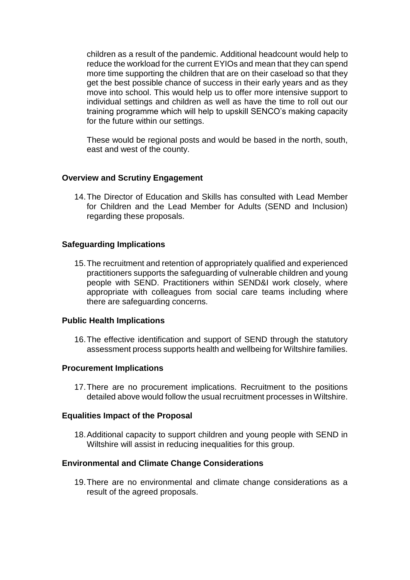children as a result of the pandemic. Additional headcount would help to reduce the workload for the current EYIOs and mean that they can spend more time supporting the children that are on their caseload so that they get the best possible chance of success in their early years and as they move into school. This would help us to offer more intensive support to individual settings and children as well as have the time to roll out our training programme which will help to upskill SENCO's making capacity for the future within our settings.

These would be regional posts and would be based in the north, south, east and west of the county.

### **Overview and Scrutiny Engagement**

14.The Director of Education and Skills has consulted with Lead Member for Children and the Lead Member for Adults (SEND and Inclusion) regarding these proposals.

### **Safeguarding Implications**

15.The recruitment and retention of appropriately qualified and experienced practitioners supports the safeguarding of vulnerable children and young people with SEND. Practitioners within SEND&I work closely, where appropriate with colleagues from social care teams including where there are safeguarding concerns.

#### **Public Health Implications**

16.The effective identification and support of SEND through the statutory assessment process supports health and wellbeing for Wiltshire families.

#### **Procurement Implications**

17.There are no procurement implications. Recruitment to the positions detailed above would follow the usual recruitment processes in Wiltshire.

#### **Equalities Impact of the Proposal**

18.Additional capacity to support children and young people with SEND in Wiltshire will assist in reducing inequalities for this group.

#### **Environmental and Climate Change Considerations**

19.There are no environmental and climate change considerations as a result of the agreed proposals.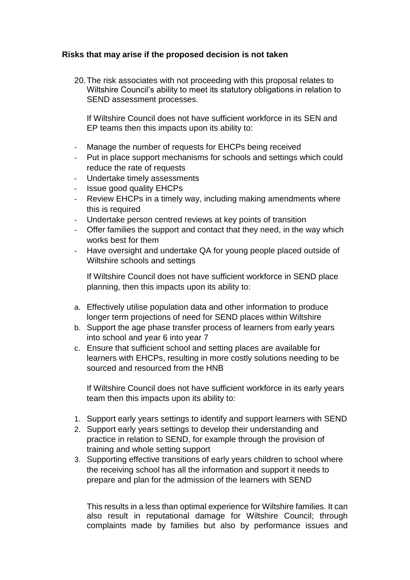# **Risks that may arise if the proposed decision is not taken**

20.The risk associates with not proceeding with this proposal relates to Wiltshire Council's ability to meet its statutory obligations in relation to SEND assessment processes.

If Wiltshire Council does not have sufficient workforce in its SEN and EP teams then this impacts upon its ability to:

- Manage the number of requests for EHCPs being received
- Put in place support mechanisms for schools and settings which could reduce the rate of requests
- Undertake timely assessments
- Issue good quality EHCPs
- Review EHCPs in a timely way, including making amendments where this is required
- Undertake person centred reviews at key points of transition
- Offer families the support and contact that they need, in the way which works best for them
- Have oversight and undertake QA for young people placed outside of Wiltshire schools and settings

If Wiltshire Council does not have sufficient workforce in SEND place planning, then this impacts upon its ability to:

- a. Effectively utilise population data and other information to produce longer term projections of need for SEND places within Wiltshire
- b. Support the age phase transfer process of learners from early years into school and year 6 into year 7
- c. Ensure that sufficient school and setting places are available for learners with EHCPs, resulting in more costly solutions needing to be sourced and resourced from the HNB

If Wiltshire Council does not have sufficient workforce in its early years team then this impacts upon its ability to:

- 1. Support early years settings to identify and support learners with SEND
- 2. Support early years settings to develop their understanding and practice in relation to SEND, for example through the provision of training and whole setting support
- 3. Supporting effective transitions of early years children to school where the receiving school has all the information and support it needs to prepare and plan for the admission of the learners with SEND

This results in a less than optimal experience for Wiltshire families. It can also result in reputational damage for Wiltshire Council; through complaints made by families but also by performance issues and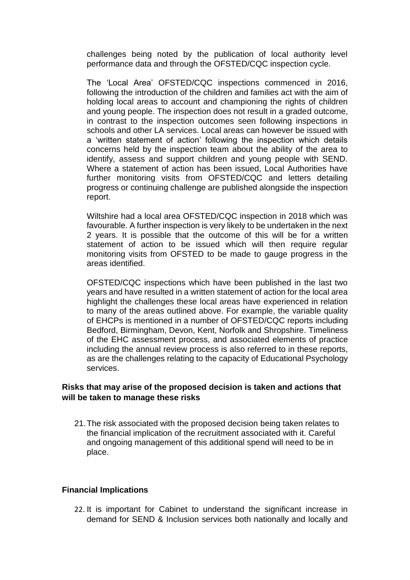challenges being noted by the publication of local authority level performance data and through the OFSTED/CQC inspection cycle.

The 'Local Area' OFSTED/CQC inspections commenced in 2016, following the introduction of the children and families act with the aim of holding local areas to account and championing the rights of children and young people. The inspection does not result in a graded outcome, in contrast to the inspection outcomes seen following inspections in schools and other LA services. Local areas can however be issued with a 'written statement of action' following the inspection which details concerns held by the inspection team about the ability of the area to identify, assess and support children and young people with SEND. Where a statement of action has been issued, Local Authorities have further monitoring visits from OFSTED/CQC and letters detailing progress or continuing challenge are published alongside the inspection report.

Wiltshire had a local area OFSTED/CQC inspection in 2018 which was favourable. A further inspection is very likely to be undertaken in the next 2 years. It is possible that the outcome of this will be for a written statement of action to be issued which will then require regular monitoring visits from OFSTED to be made to gauge progress in the areas identified.

OFSTED/CQC inspections which have been published in the last two years and have resulted in a written statement of action for the local area highlight the challenges these local areas have experienced in relation to many of the areas outlined above. For example, the variable quality of EHCPs is mentioned in a number of OFSTED/CQC reports including Bedford, Birmingham, Devon, Kent, Norfolk and Shropshire. Timeliness of the EHC assessment process, and associated elements of practice including the annual review process is also referred to in these reports, as are the challenges relating to the capacity of Educational Psychology services.

### **Risks that may arise of the proposed decision is taken and actions that will be taken to manage these risks**

21.The risk associated with the proposed decision being taken relates to the financial implication of the recruitment associated with it. Careful and ongoing management of this additional spend will need to be in place.

### **Financial Implications**

22. It is important for Cabinet to understand the significant increase in demand for SEND & Inclusion services both nationally and locally and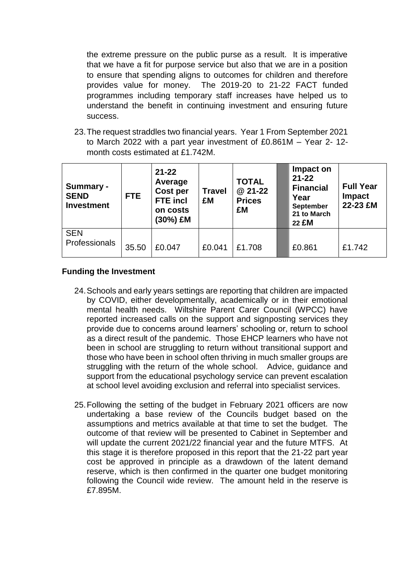the extreme pressure on the public purse as a result. It is imperative that we have a fit for purpose service but also that we are in a position to ensure that spending aligns to outcomes for children and therefore provides value for money. The 2019-20 to 21-22 FACT funded programmes including temporary staff increases have helped us to understand the benefit in continuing investment and ensuring future success.

23.The request straddles two financial years. Year 1 From September 2021 to March 2022 with a part year investment of £0.861M – Year 2- 12 month costs estimated at £1.742M.

| Summary -<br><b>SEND</b><br><b>Investment</b> | FTE.  | $21 - 22$<br>Average<br><b>Cost per</b><br><b>FTE</b> incl<br>on costs<br>(30%) £M | <b>TOTAL</b><br>@ 21-22<br><b>Travel</b><br><b>Prices</b><br>£M<br>£M |        | Impact on<br>$21 - 22$<br><b>Financial</b><br>Year<br><b>September</b><br>21 to March<br>22 £M | <b>Full Year</b><br><b>Impact</b><br>22-23 £M |
|-----------------------------------------------|-------|------------------------------------------------------------------------------------|-----------------------------------------------------------------------|--------|------------------------------------------------------------------------------------------------|-----------------------------------------------|
| <b>SEN</b><br>Professionals                   | 35.50 | £0.047                                                                             | £0.041                                                                | £1.708 | £0.861                                                                                         | £1.742                                        |

### **Funding the Investment**

- 24.Schools and early years settings are reporting that children are impacted by COVID, either developmentally, academically or in their emotional mental health needs. Wiltshire Parent Carer Council (WPCC) have reported increased calls on the support and signposting services they provide due to concerns around learners' schooling or, return to school as a direct result of the pandemic. Those EHCP learners who have not been in school are struggling to return without transitional support and those who have been in school often thriving in much smaller groups are struggling with the return of the whole school. Advice, guidance and support from the educational psychology service can prevent escalation at school level avoiding exclusion and referral into specialist services.
- 25.Following the setting of the budget in February 2021 officers are now undertaking a base review of the Councils budget based on the assumptions and metrics available at that time to set the budget. The outcome of that review will be presented to Cabinet in September and will update the current 2021/22 financial year and the future MTFS. At this stage it is therefore proposed in this report that the 21-22 part year cost be approved in principle as a drawdown of the latent demand reserve, which is then confirmed in the quarter one budget monitoring following the Council wide review. The amount held in the reserve is £7.895M.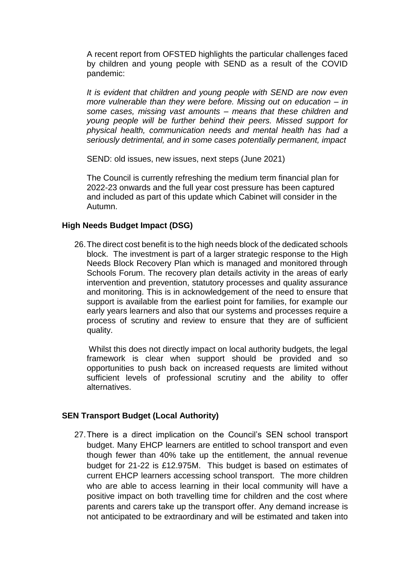A recent report from OFSTED highlights the particular challenges faced by children and young people with SEND as a result of the COVID pandemic:

*It is evident that children and young people with SEND are now even more vulnerable than they were before. Missing out on education – in some cases, missing vast amounts – means that these children and young people will be further behind their peers. Missed support for physical health, communication needs and mental health has had a seriously detrimental, and in some cases potentially permanent, impact*

SEND: old issues, new issues, next steps (June 2021)

The Council is currently refreshing the medium term financial plan for 2022-23 onwards and the full year cost pressure has been captured and included as part of this update which Cabinet will consider in the Autumn.

### **High Needs Budget Impact (DSG)**

26.The direct cost benefit is to the high needs block of the dedicated schools block. The investment is part of a larger strategic response to the High Needs Block Recovery Plan which is managed and monitored through Schools Forum. The recovery plan details activity in the areas of early intervention and prevention, statutory processes and quality assurance and monitoring. This is in acknowledgement of the need to ensure that support is available from the earliest point for families, for example our early years learners and also that our systems and processes require a process of scrutiny and review to ensure that they are of sufficient quality.

Whilst this does not directly impact on local authority budgets, the legal framework is clear when support should be provided and so opportunities to push back on increased requests are limited without sufficient levels of professional scrutiny and the ability to offer alternatives.

### **SEN Transport Budget (Local Authority)**

27.There is a direct implication on the Council's SEN school transport budget. Many EHCP learners are entitled to school transport and even though fewer than 40% take up the entitlement, the annual revenue budget for 21-22 is £12.975M. This budget is based on estimates of current EHCP learners accessing school transport. The more children who are able to access learning in their local community will have a positive impact on both travelling time for children and the cost where parents and carers take up the transport offer. Any demand increase is not anticipated to be extraordinary and will be estimated and taken into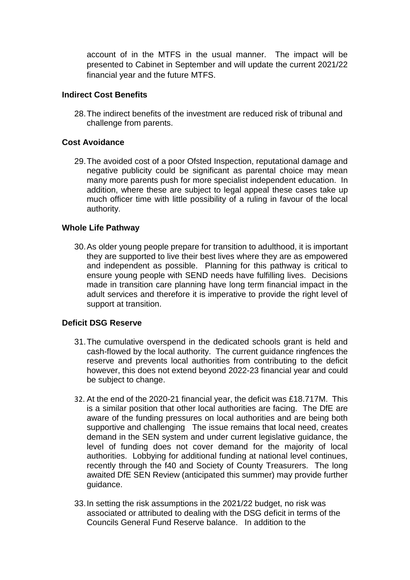account of in the MTFS in the usual manner. The impact will be presented to Cabinet in September and will update the current 2021/22 financial year and the future MTFS.

### **Indirect Cost Benefits**

28.The indirect benefits of the investment are reduced risk of tribunal and challenge from parents.

# **Cost Avoidance**

29.The avoided cost of a poor Ofsted Inspection, reputational damage and negative publicity could be significant as parental choice may mean many more parents push for more specialist independent education. In addition, where these are subject to legal appeal these cases take up much officer time with little possibility of a ruling in favour of the local authority.

### **Whole Life Pathway**

30.As older young people prepare for transition to adulthood, it is important they are supported to live their best lives where they are as empowered and independent as possible. Planning for this pathway is critical to ensure young people with SEND needs have fulfilling lives. Decisions made in transition care planning have long term financial impact in the adult services and therefore it is imperative to provide the right level of support at transition.

# **Deficit DSG Reserve**

- 31.The cumulative overspend in the dedicated schools grant is held and cash-flowed by the local authority. The current guidance ringfences the reserve and prevents local authorities from contributing to the deficit however, this does not extend beyond 2022-23 financial year and could be subject to change.
- 32. At the end of the 2020-21 financial year, the deficit was £18.717M. This is a similar position that other local authorities are facing. The DfE are aware of the funding pressures on local authorities and are being both supportive and challenging The issue remains that local need, creates demand in the SEN system and under current legislative guidance, the level of funding does not cover demand for the majority of local authorities. Lobbying for additional funding at national level continues, recently through the f40 and Society of County Treasurers. The long awaited DfE SEN Review (anticipated this summer) may provide further guidance.
- 33.In setting the risk assumptions in the 2021/22 budget, no risk was associated or attributed to dealing with the DSG deficit in terms of the Councils General Fund Reserve balance. In addition to the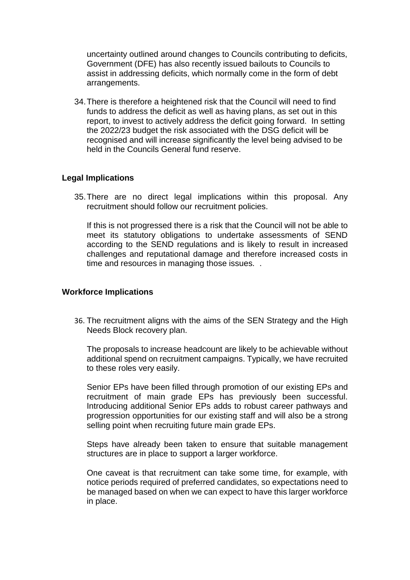uncertainty outlined around changes to Councils contributing to deficits, Government (DFE) has also recently issued bailouts to Councils to assist in addressing deficits, which normally come in the form of debt arrangements.

34.There is therefore a heightened risk that the Council will need to find funds to address the deficit as well as having plans, as set out in this report, to invest to actively address the deficit going forward. In setting the 2022/23 budget the risk associated with the DSG deficit will be recognised and will increase significantly the level being advised to be held in the Councils General fund reserve.

### **Legal Implications**

35.There are no direct legal implications within this proposal. Any recruitment should follow our recruitment policies.

If this is not progressed there is a risk that the Council will not be able to meet its statutory obligations to undertake assessments of SEND according to the SEND regulations and is likely to result in increased challenges and reputational damage and therefore increased costs in time and resources in managing those issues. .

#### **Workforce Implications**

36. The recruitment aligns with the aims of the SEN Strategy and the High Needs Block recovery plan.

The proposals to increase headcount are likely to be achievable without additional spend on recruitment campaigns. Typically, we have recruited to these roles very easily.

Senior EPs have been filled through promotion of our existing EPs and recruitment of main grade EPs has previously been successful. Introducing additional Senior EPs adds to robust career pathways and progression opportunities for our existing staff and will also be a strong selling point when recruiting future main grade EPs.

Steps have already been taken to ensure that suitable management structures are in place to support a larger workforce.

One caveat is that recruitment can take some time, for example, with notice periods required of preferred candidates, so expectations need to be managed based on when we can expect to have this larger workforce in place.